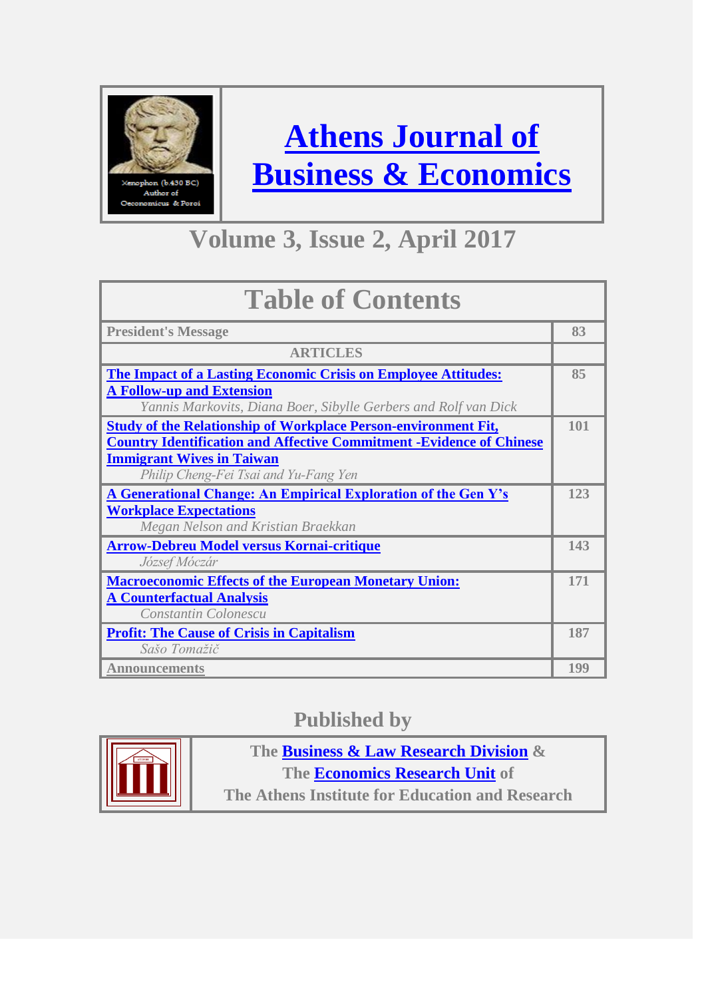

**[Athens Journal of](http://www.athensjournals.gr/ajbe)  [Business & Economics](http://www.athensjournals.gr/ajbe)**

## **Volume 3, Issue 2, April 2017**

| <b>Table of Contents</b>                                                                            |     |
|-----------------------------------------------------------------------------------------------------|-----|
| <b>President's Message</b>                                                                          | 83  |
| <b>ARTICLES</b>                                                                                     |     |
| <b>The Impact of a Lasting Economic Crisis on Employee Attitudes:</b>                               | 85  |
| <b>A Follow-up and Extension</b><br>Yannis Markovits, Diana Boer, Sibylle Gerbers and Rolf van Dick |     |
| <b>Study of the Relationship of Workplace Person-environment Fit,</b>                               | 101 |
| <b>Country Identification and Affective Commitment -Evidence of Chinese</b>                         |     |
| <b>Immigrant Wives in Taiwan</b>                                                                    |     |
| Philip Cheng-Fei Tsai and Yu-Fang Yen                                                               |     |
| A Generational Change: An Empirical Exploration of the Gen Y's                                      | 123 |
| <b>Workplace Expectations</b>                                                                       |     |
| Megan Nelson and Kristian Braekkan                                                                  |     |
| <b>Arrow-Debreu Model versus Kornai-critique</b>                                                    | 143 |
| József Móczár                                                                                       |     |
| <b>Macroeconomic Effects of the European Monetary Union:</b>                                        | 171 |
| <b>A Counterfactual Analysis</b>                                                                    |     |
| Constantin Colonescu                                                                                |     |
| <b>Profit: The Cause of Crisis in Capitalism</b>                                                    | 187 |
| Sašo Tomažič                                                                                        |     |
| <b>Announcements</b>                                                                                | 199 |

### **Published by**



**The [Business & Law Research Division](http://www.atiner.gr/BLRD.htm) & The [Economics Research Unit](http://www.atiner.gr/ECONOMICS-UNIT.htm) of** 

**The Athens Institute for Education and Research**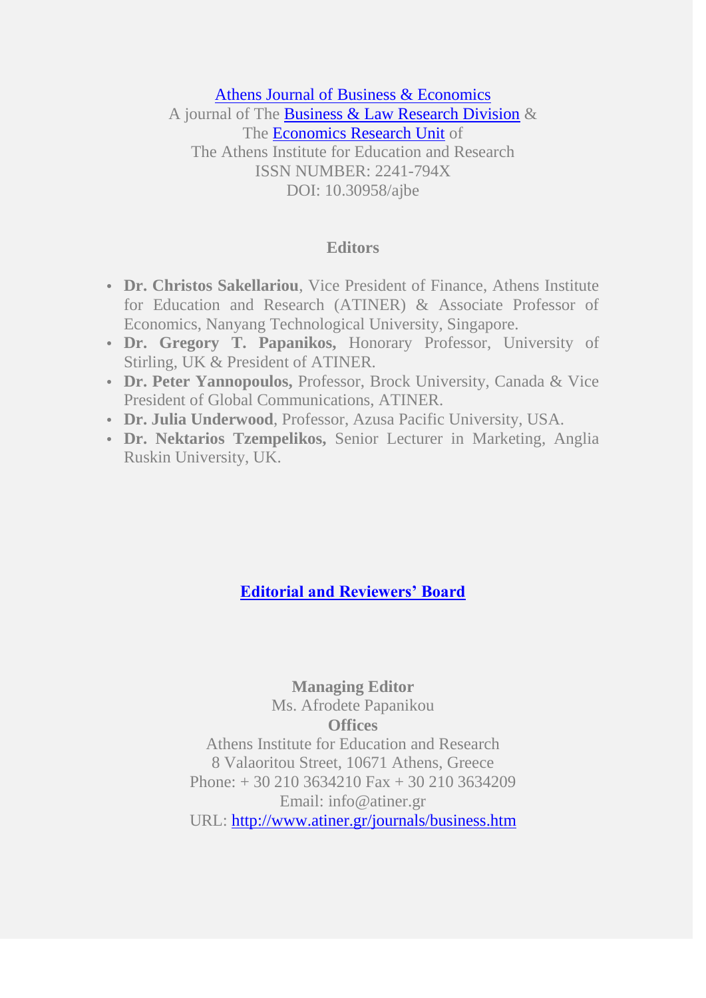#### [Athens Journal of Business & Economics](http://www.athensjournals.gr/athens-journal-of-business-economics) A journal of The [Business & Law Research Division](http://www.atiner.gr/BLRD.htm) & The [Economics Research Unit](http://www.atiner.gr/ECONOMICS-UNIT.htm) of The Athens Institute for Education and Research ISSN NUMBER: 2241-794X DOI: 10.30958/ajbe

#### **Editors**

- **• Dr. Christos Sakellariou**, Vice President of Finance, Athens Institute for Education and Research (ATINER) & Associate Professor of Economics, Nanyang Technological University, Singapore.
- **• Dr. Gregory T. Papanikos,** Honorary Professor, University of Stirling, UK & President of ATINER.
- **• Dr. Peter Yannopoulos,** Professor, Brock University, Canada & Vice President of Global Communications, ATINER.
- **• Dr. Julia Underwood**, Professor, Azusa Pacific University, USA.
- **• Dr. Nektarios Tzempelikos,** Senior Lecturer in Marketing, Anglia Ruskin University, UK.

#### **[Editorial and Reviewers' Board](http://www.athensjournals.gr/athens-journal-of-business-economics/editorial-and-reviewers%E2%80%99-board-of-the-athens-journal-of-business-economics)**

**Managing Editor** Ms. Afrodete Papanikou **Offices** Athens Institute for Education and Research 8 Valaoritou Street, 10671 Athens, Greece Phone: + 30 210 3634210 Fax + 30 210 3634209 Email: info@atiner.gr URL:<http://www.atiner.gr/journals/business.htm>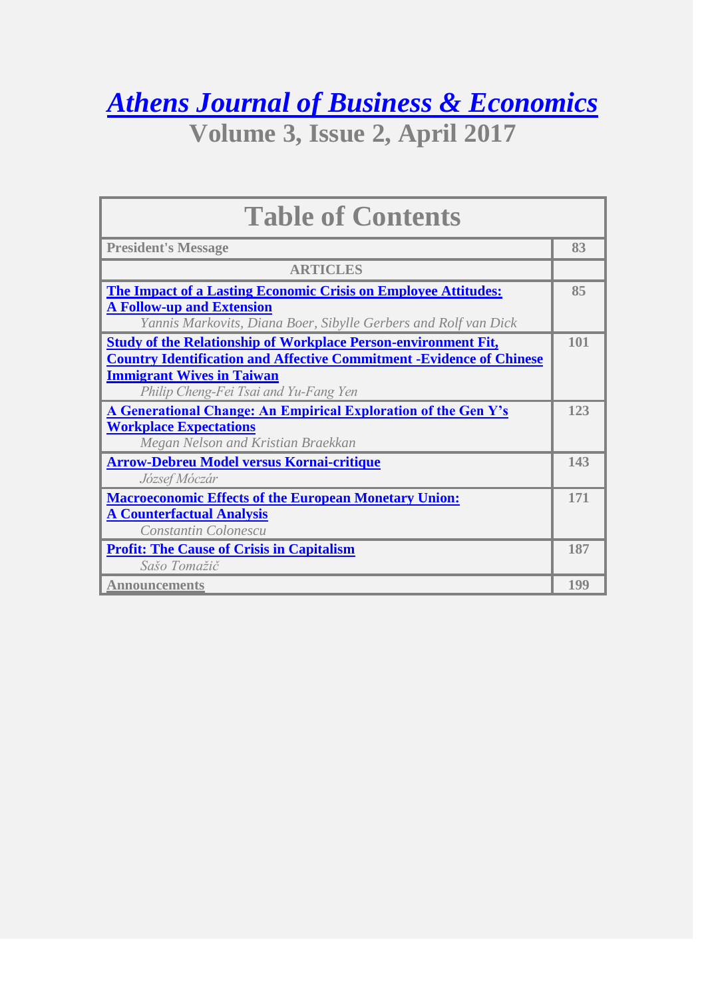*[Athens Journal of Business & Economics](http://www.athensjournals.gr/ajbe)*

**Volume 3, Issue 2, April 2017**

| <b>Table of Contents</b>                                                                            |     |
|-----------------------------------------------------------------------------------------------------|-----|
| <b>President's Message</b>                                                                          | 83  |
| <b>ARTICLES</b>                                                                                     |     |
| <b>The Impact of a Lasting Economic Crisis on Employee Attitudes:</b>                               | 85  |
| <b>A Follow-up and Extension</b><br>Yannis Markovits, Diana Boer, Sibylle Gerbers and Rolf van Dick |     |
| <b><u>Study of the Relationship of Workplace Person-environment Fit,</u></b>                        | 101 |
| <b>Country Identification and Affective Commitment -Evidence of Chinese</b>                         |     |
| <b>Immigrant Wives in Taiwan</b><br>Philip Cheng-Fei Tsai and Yu-Fang Yen                           |     |
| A Generational Change: An Empirical Exploration of the Gen Y's                                      | 123 |
| <b>Workplace Expectations</b>                                                                       |     |
| Megan Nelson and Kristian Braekkan                                                                  |     |
| <b>Arrow-Debreu Model versus Kornai-critique</b><br>József Móczár                                   | 143 |
| <b>Macroeconomic Effects of the European Monetary Union:</b>                                        | 171 |
| <b>A Counterfactual Analysis</b>                                                                    |     |
| Constantin Colonescu                                                                                |     |
| <b>Profit: The Cause of Crisis in Capitalism</b><br>Sašo Tomažič                                    | 187 |
| <b>Announcements</b>                                                                                | 199 |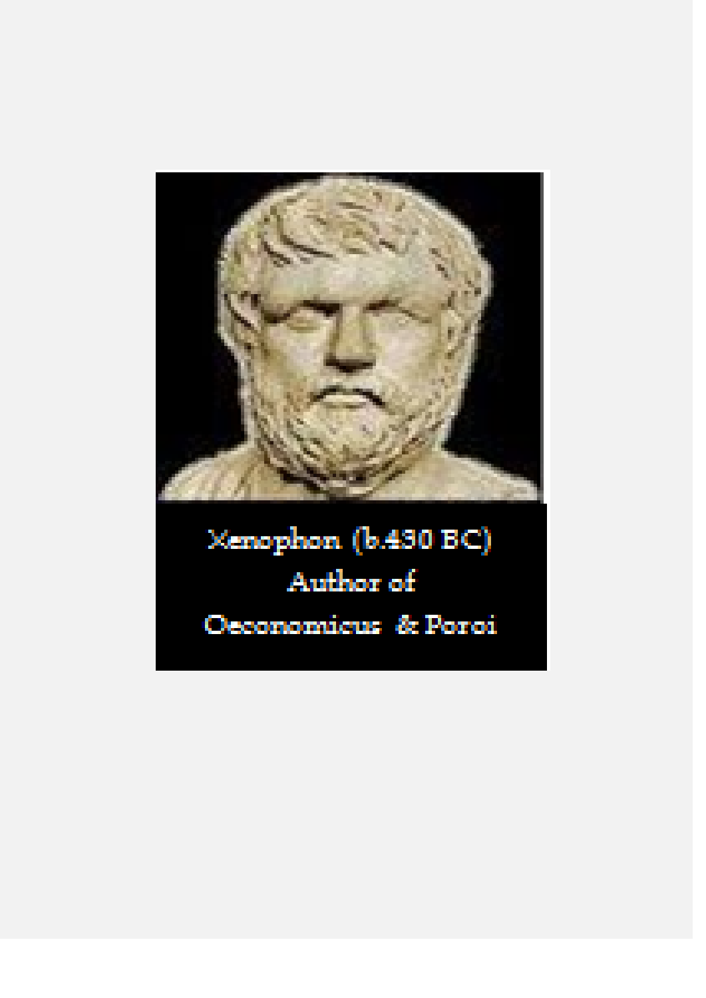

# Xenophon (b.430 BC) Author of Oeconomicus & Poroi